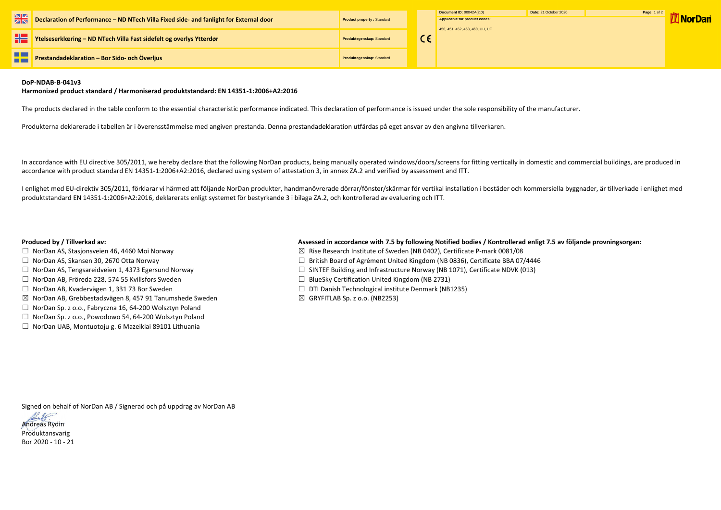|             |                                                                                        |                                   | Document ID: 00042A(2.0)                                         | Date: 21 |
|-------------|----------------------------------------------------------------------------------------|-----------------------------------|------------------------------------------------------------------|----------|
| $rac{N}{N}$ | Declaration of Performance - ND NTech Villa Fixed side- and fanlight for External door | <b>Product property: Standard</b> | Applicable for product codes:<br>450, 451, 452, 453, 460, UH, UF |          |
|             | Ytelseserklæring - ND NTech Villa Fast sidefelt og overlys Ytterdør                    | Produktegenskap: Standard         |                                                                  |          |
|             | Prestandadeklaration - Bor Sido- och Överljus                                          | Produktegenskap: Standard         |                                                                  |          |



## **DoP-NDAB-B-041v3**

### **Harmonized product standard / Harmoniserad produktstandard: EN 14351-1:2006+A2:2016**

The products declared in the table conform to the essential characteristic performance indicated. This declaration of performance is issued under the sole responsibility of the manufacturer.

Produkterna deklarerade i tabellen är i överensstämmelse med angiven prestanda. Denna prestandadeklaration utfärdas på eget ansvar av den angivna tillverkaren.

In accordance with EU directive 305/2011, we hereby declare that the following NorDan products, being manually operated windows/doors/screens for fitting vertically in domestic and commercial buildings, are produced in accordance with product standard EN 14351-1:2006+A2:2016, declared using system of attestation 3, in annex ZA.2 and verified by assessment and ITT.

- □ NorDan AS, Stasjonsveien 46, 4460 Moi Norway  $□$  Norman Manuson  $□$  Rise Research Institute of Sweden (NB 0402), Certificate P-mark 0081/08
- ☐ NorDan AS, Skansen 30, 2670 Otta Norway ☐ British Board of Agrément United Kingdom (NB 0836), Certificate BBA 07/4446
- ☐ NorDan AS, Tengsareidveien 1, 4373 Egersund Norway ☐ SINTEF Building and Infrastructure Norway (NB 1071), Certificate NDVK (013)
	-
- ☐ NorDan AB, Kvadervägen 1, 331 73 Bor Sweden ☐ DTI Danish Technological institute Denmark (NB1235)
	-

I enlighet med EU-direktiv 305/2011, förklarar vi härmed att följande NorDan produkter, handmanövrerade dörrar/fönster/skärmar för vertikal installation i bostäder och kommersiella byggnader, är tillverkade i enlighet med produktstandard EN 14351-1:2006+A2:2016, deklarerats enligt systemet för bestyrkande 3 i bilaga ZA.2, och kontrollerad av evaluering och ITT.

# **Produced by / Tillverkad av: Assessed in accordance with 7.5 by following Notified bodies / Kontrollerad enligt 7.5 av följande provningsorgan:**

- 
- 
- 
- ☐ NorDan AB, Fröreda 228, 574 55 Kvillsfors Sweden ☐ BlueSky Certification United Kingdom (NB 2731)
- 
- $\boxtimes$  NorDan AB, Grebbestadsvägen 8, 457 91 Tanumshede Sweden  $\boxtimes$  GRYFITLAB Sp. z o.o. (NB2253)
- ☐ NorDan Sp. z o.o., Fabryczna 16, 64-200 Wolsztyn Poland
- ☐ NorDan Sp. z o.o., Powodowo 54, 64-200 Wolsztyn Poland
- ☐ NorDan UAB, Montuotoju g. 6 Mazeikiai 89101 Lithuania

Signed on behalf of NorDan AB / Signerad och på uppdrag av NorDan AB



Bor 2020 - 10 - 21

| October 2020 |  |
|--------------|--|